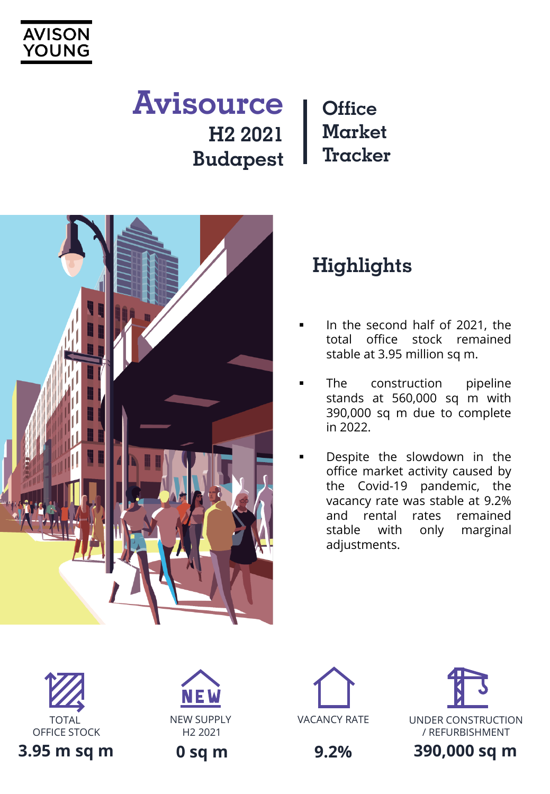

### **Office Market Tracker Avisource H2 2021 Budapest**



# **Highlights**

- In the second half of 2021, the total office stock remained stable at 3.95 million sq m.
- The construction pipeline stands at 560,000 sq m with 390,000 sq m due to complete in 2022.
- Despite the slowdown in the office market activity caused by the Covid-19 pandemic, the vacancy rate was stable at 9.2% and rental rates remained stable with only marginal adjustments.













**9.2%**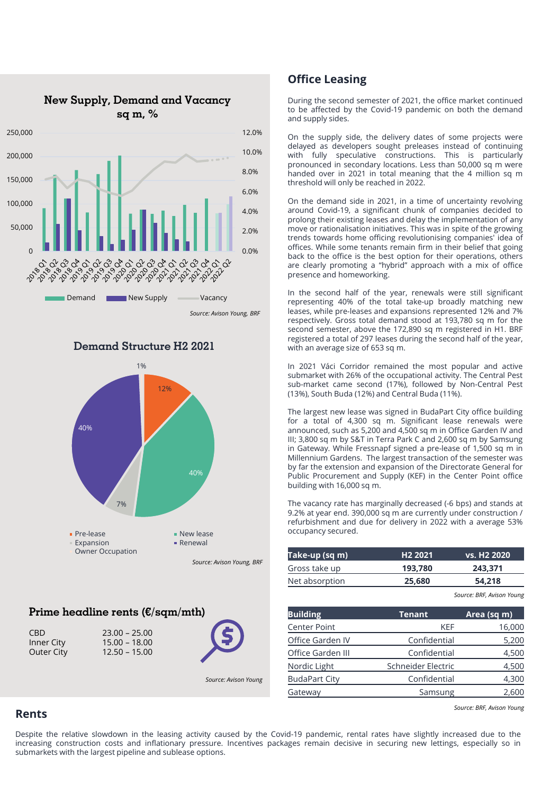



#### **Demand Structure H2 2021**

#### *Source: Avison Young, BRF*

#### **Prime headline rents (€/sqm/mth)**

CBD 23.00 – 25.00 Inner City 15.00 – 18.00 Outer City 12.50 – 15.00



*Source: Avison Young*

#### **Office Leasing**

During the second semester of 2021, the office market continued to be affected by the Covid-19 pandemic on both the demand and supply sides.

On the supply side, the delivery dates of some projects were delayed as developers sought preleases instead of continuing with fully speculative constructions. This is particularly pronounced in secondary locations. Less than 50,000 sq m were handed over in 2021 in total meaning that the 4 million sq m threshold will only be reached in 2022.

On the demand side in 2021, in a time of uncertainty revolving around Covid-19, a significant chunk of companies decided to prolong their existing leases and delay the implementation of any move or rationalisation initiatives. This was in spite of the growing trends towards home officing revolutionising companies' idea of offices. While some tenants remain firm in their belief that going back to the office is the best option for their operations, others are clearly promoting a "hybrid" approach with a mix of office presence and homeworking.

In the second half of the year, renewals were still significant representing 40% of the total take-up broadly matching new leases, while pre-leases and expansions represented 12% and 7% respectively. Gross total demand stood at 193,780 sq m for the second semester, above the 172,890 sq m registered in H1. BRF registered a total of 297 leases during the second half of the year, with an average size of 653 sq m.

In 2021 Váci Corridor remained the most popular and active submarket with 26% of the occupational activity. The Central Pest sub-market came second (17%), followed by Non-Central Pest (13%), South Buda (12%) and Central Buda (11%).

The largest new lease was signed in BudaPart City office building for a total of 4,300 sq m. Significant lease renewals were announced, such as 5,200 and 4,500 sq m in Office Garden IV and III; 3,800 sq m by S&T in Terra Park C and 2,600 sq m by Samsung in Gateway. While Fressnapf signed a pre-lease of 1,500 sq m in Millennium Gardens. The largest transaction of the semester was by far the extension and expansion of the Directorate General for Public Procurement and Supply (KEF) in the Center Point office building with 16,000 sq m.

The vacancy rate has marginally decreased (-6 bps) and stands at 9.2% at year end. 390,000 sq m are currently under construction / refurbishment and due for delivery in 2022 with a average 53% occupancy secured.

| <u>Tak</u> e-up (sq m) | H <sub>2</sub> 2021 | vs. H <sub>2</sub> 2020 |
|------------------------|---------------------|-------------------------|
| Gross take up          | 193.780             | 243.371                 |
| Net absorption         | 25,680              | 54,218                  |
|                        |                     |                         |

*Source: BRF, Avison Young*

| <b>Building</b>      | <b>Tenant</b>      | Area (sq m) |
|----------------------|--------------------|-------------|
| <b>Center Point</b>  | KEF                | 16,000      |
| Office Garden IV     | Confidential       | 5,200       |
| Office Garden III    | Confidential       | 4,500       |
| Nordic Light         | Schneider Electric | 4,500       |
| <b>BudaPart City</b> | Confidential       | 4,300       |
| Gateway              | Samsung            | 2.600       |

*Source: BRF, Avison Young*

#### **Rents**

Despite the relative slowdown in the leasing activity caused by the Covid-19 pandemic, rental rates have slightly increased due to the increasing construction costs and inflationary pressure. Incentives packages remain decisive in securing new lettings, especially so in submarkets with the largest pipeline and sublease options.